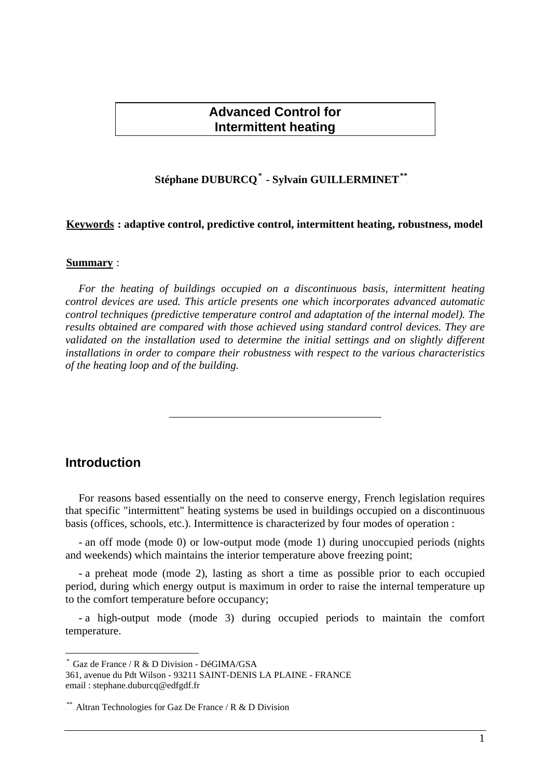## **Advanced Control for Intermittent heating**

## $\bf$  Stéphane  $\bf DUBURCQ}^*$  - Sylvain  $\bf GULLERMINET}^{**}$

### Keywords : adaptive control, predictive control, intermittent heating, robustness, model

#### **Summary**:

*For the heating of buildings occupied on a discontinuous basis, intermittent heating control devices are used. This article presents one which incorporates advanced automatic control techniques (predictive temperature control and adaptation of the internal model). The results obtained are compared with those achieved using standard control devices. They are validated on the installation used to determine the initial settings and on slightly different installations in order to compare their robustness with respect to the various characteristics of the heating loop and of the building.*

## **Introduction**

1

For reasons based essentially on the need to conserve energy, French legislation requires that specific "intermittent" heating systems be used in buildings occupied on a discontinuous basis (offices, schools, etc.). Intermittence is characterized by four modes of operation :

- an off mode (mode 0) or low-output mode (mode 1) during unoccupied periods (nights and weekends) which maintains the interior temperature above freezing point;

- a preheat mode (mode 2), lasting as short a time as possible prior to each occupied period, during which energy output is maximum in order to raise the internal temperature up to the comfort temperature before occupancy;

- a high-output mode (mode 3) during occupied periods to maintain the comfort temperature.

<sup>\*</sup> Gaz de France / R & D Division - DéGIMA/GSA

<sup>361,</sup> avenue du Pdt Wilson - 93211 SAINT-DENIS LA PLAINE - FRANCE email : stephane.duburcq@edfgdf.fr

 $*$ Altran Technologies for Gaz De France / R & D Division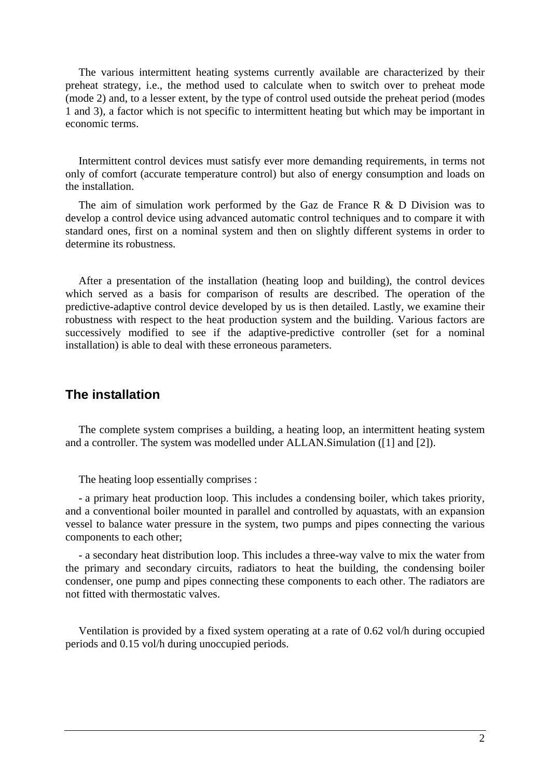The various intermittent heating systems currently available are characterized by their preheat strategy, i.e., the method used to calculate when to switch over to preheat mode (mode 2) and, to a lesser extent, by the type of control used outside the preheat period (modes 1 and 3), a factor which is not specific to intermittent heating but which may be important in economic terms.

Intermittent control devices must satisfy ever more demanding requirements, in terms not only of comfort (accurate temperature control) but also of energy consumption and loads on the installation.

The aim of simulation work performed by the Gaz de France R & D Division was to develop a control device using advanced automatic control techniques and to compare it with standard ones, first on a nominal system and then on slightly different systems in order to determine its robustness.

After a presentation of the installation (heating loop and building), the control devices which served as a basis for comparison of results are described. The operation of the predictive-adaptive control device developed by us is then detailed. Lastly, we examine their robustness with respect to the heat production system and the building. Various factors are successively modified to see if the adaptive-predictive controller (set for a nominal installation) is able to deal with these erroneous parameters.

## **The installation**

The complete system comprises a building, a heating loop, an intermittent heating system and a controller. The system was modelled under ALLAN.Simulation ([1] and [2]).

The heating loop essentially comprises :

- a primary heat production loop. This includes a condensing boiler, which takes priority, and a conventional boiler mounted in parallel and controlled by aquastats, with an expansion vessel to balance water pressure in the system, two pumps and pipes connecting the various components to each other;

- a secondary heat distribution loop. This includes a three-way valve to mix the water from the primary and secondary circuits, radiators to heat the building, the condensing boiler condenser, one pump and pipes connecting these components to each other. The radiators are not fitted with thermostatic valves.

Ventilation is provided by a fixed system operating at a rate of 0.62 vol/h during occupied periods and 0.15 vol/h during unoccupied periods.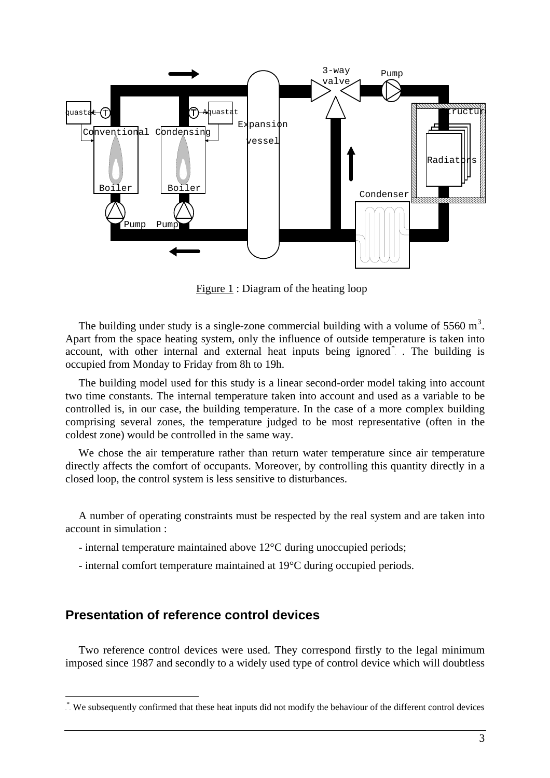

Figure 1 : Diagram of the heating loop

The building under study is a single-zone commercial building with a volume of 5560  $m^3$ . Apart from the space heating system, only the influence of outside temperature is taken into account, with other internal and external heat inputs being ignored<sup>\*</sup>. The building is occupied from Monday to Friday from 8h to 19h.

The building model used for this study is a linear second-order model taking into account two time constants. The internal temperature taken into account and used as a variable to be controlled is, in our case, the building temperature. In the case of a more complex building comprising several zones, the temperature judged to be most representative (often in the coldest zone) would be controlled in the same way.

We chose the air temperature rather than return water temperature since air temperature directly affects the comfort of occupants. Moreover, by controlling this quantity directly in a closed loop, the control system is less sensitive to disturbances.

A number of operating constraints must be respected by the real system and are taken into account in simulation :

- internal temperature maintained above 12°C during unoccupied periods;
- internal comfort temperature maintained at 19°C during occupied periods.

## **Presentation of reference control devices**

1

Two reference control devices were used. They correspond firstly to the legal minimum imposed since 1987 and secondly to a widely used type of control device which will doubtless

 $\dot{\cdot}$ . We subsequently confirmed that these heat inputs did not modify the behaviour of the different control devices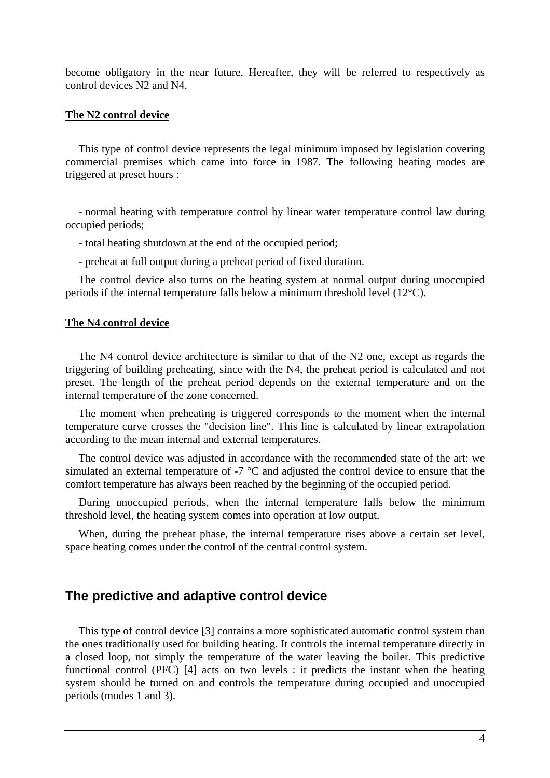become obligatory in the near future. Hereafter, they will be referred to respectively as control devices N2 and N4.

#### **The N2 control device**

This type of control device represents the legal minimum imposed by legislation covering commercial premises which came into force in 1987. The following heating modes are triggered at preset hours :

- normal heating with temperature control by linear water temperature control law during occupied periods;

- total heating shutdown at the end of the occupied period;

- preheat at full output during a preheat period of fixed duration.

The control device also turns on the heating system at normal output during unoccupied periods if the internal temperature falls below a minimum threshold level (12°C).

#### **The N4 control device**

The N4 control device architecture is similar to that of the N2 one, except as regards the triggering of building preheating, since with the N4, the preheat period is calculated and not preset. The length of the preheat period depends on the external temperature and on the internal temperature of the zone concerned.

The moment when preheating is triggered corresponds to the moment when the internal temperature curve crosses the "decision line". This line is calculated by linear extrapolation according to the mean internal and external temperatures.

The control device was adjusted in accordance with the recommended state of the art: we simulated an external temperature of -7 °C and adjusted the control device to ensure that the comfort temperature has always been reached by the beginning of the occupied period.

During unoccupied periods, when the internal temperature falls below the minimum threshold level, the heating system comes into operation at low output.

When, during the preheat phase, the internal temperature rises above a certain set level, space heating comes under the control of the central control system.

## **The predictive and adaptive control device**

This type of control device [3] contains a more sophisticated automatic control system than the ones traditionally used for building heating. It controls the internal temperature directly in a closed loop, not simply the temperature of the water leaving the boiler. This predictive functional control (PFC) [4] acts on two levels : it predicts the instant when the heating system should be turned on and controls the temperature during occupied and unoccupied periods (modes 1 and 3).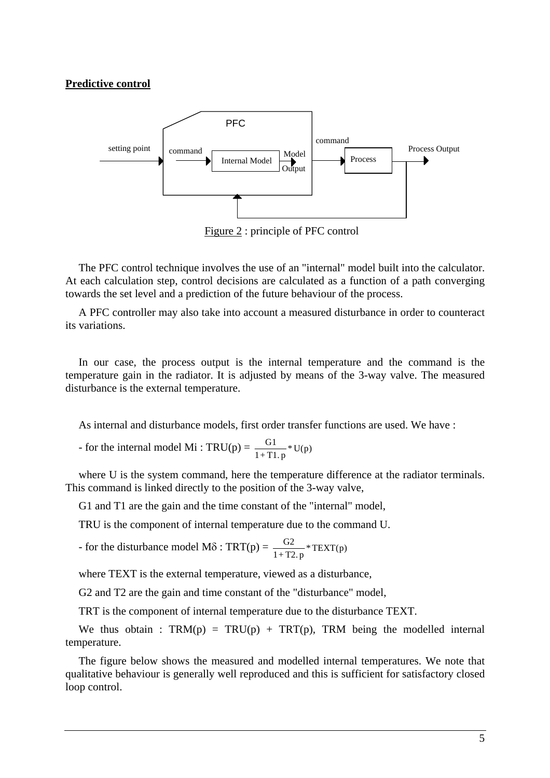### **Predictive control**



Figure 2 : principle of PFC control

The PFC control technique involves the use of an "internal" model built into the calculator. At each calculation step, control decisions are calculated as a function of a path converging towards the set level and a prediction of the future behaviour of the process.

A PFC controller may also take into account a measured disturbance in order to counteract its variations.

In our case, the process output is the internal temperature and the command is the temperature gain in the radiator. It is adjusted by means of the 3-way valve. The measured disturbance is the external temperature.

As internal and disturbance models, first order transfer functions are used. We have :

- for the internal model Mi : TRU(p) =  $\frac{G1}{1+T1.p}$  \* U(p)

where U is the system command, here the temperature difference at the radiator terminals. This command is linked directly to the position of the 3-way valve,

G1 and T1 are the gain and the time constant of the "internal" model,

TRU is the component of internal temperature due to the command U.

- for the disturbance model M $\delta$  : TRT(p) =  $\frac{G2}{1+T2. p}$  \* TEXT(p)

where TEXT is the external temperature, viewed as a disturbance,

G2 and T2 are the gain and time constant of the "disturbance" model,

TRT is the component of internal temperature due to the disturbance TEXT.

We thus obtain :  $TRM(p) = TRU(p) + TRT(p)$ , TRM being the modelled internal temperature.

The figure below shows the measured and modelled internal temperatures. We note that qualitative behaviour is generally well reproduced and this is sufficient for satisfactory closed loop control.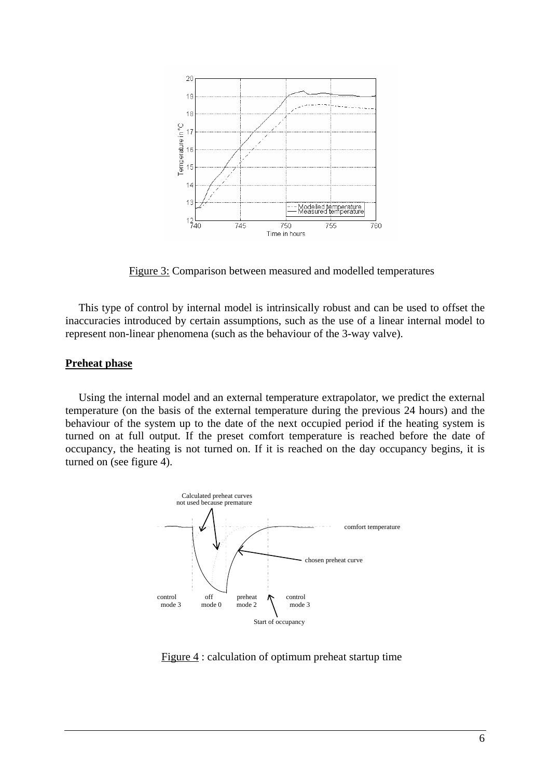

Figure 3: Comparison between measured and modelled temperatures

This type of control by internal model is intrinsically robust and can be used to offset the inaccuracies introduced by certain assumptions, such as the use of a linear internal model to represent non-linear phenomena (such as the behaviour of the 3-way valve).

### **Preheat phase**

Using the internal model and an external temperature extrapolator, we predict the external temperature (on the basis of the external temperature during the previous 24 hours) and the behaviour of the system up to the date of the next occupied period if the heating system is turned on at full output. If the preset comfort temperature is reached before the date of occupancy, the heating is not turned on. If it is reached on the day occupancy begins, it is turned on (see figure 4).



Figure 4 : calculation of optimum preheat startup time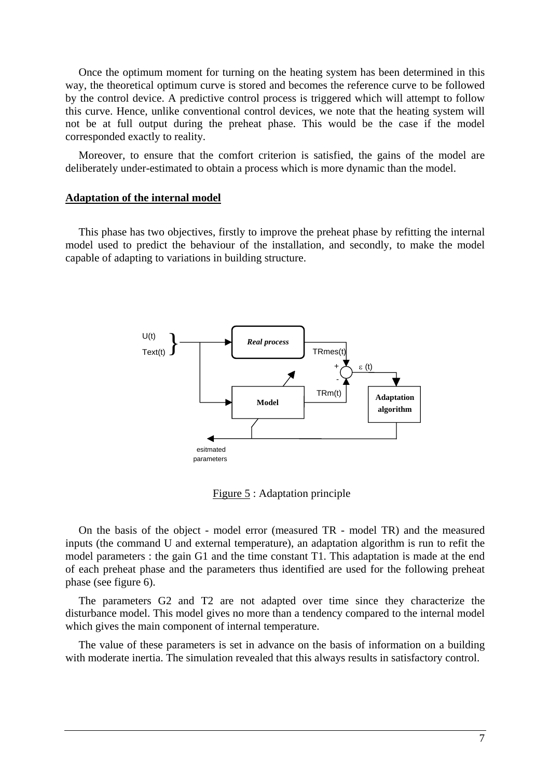Once the optimum moment for turning on the heating system has been determined in this way, the theoretical optimum curve is stored and becomes the reference curve to be followed by the control device. A predictive control process is triggered which will attempt to follow this curve. Hence, unlike conventional control devices, we note that the heating system will no t be at full output during the preheat phase. This would be the case if the model corresponded exactly to reality.

Moreover, to ensure that the comfort criterion is satisfied, the gains of the model are deliberately under-estimated to obtain a process which is more dynamic than the model.

#### **Adaptation of the internal model**

This phase has two objectives, firstly to improve the preheat phase by refitting the internal model used to predict the behaviour of the installation, and secondly, to make the model capable of adapting to variations in building structure.



Figure 5 : Adaptation principle

model parameters : the gain G1 and the time constant T1. This adaptation is made at the end of each preheat phase and the parameters thus identified are used for the following preheat On the basis of the object - model error (measured TR - model TR) and the measured inputs (the command U and external temperature), an adaptation algorithm is run to refit the phase (see figure 6).

The parameters G2 and T2 are not adapted over time since they characterize the dis turbance model. This model gives no more than a tendency compared to the internal model which gives the main component of internal temperature.

The value of these parameters is set in advance on the basis of information on a building with moderate inertia. The simulation revealed that this always results in satisfactory control.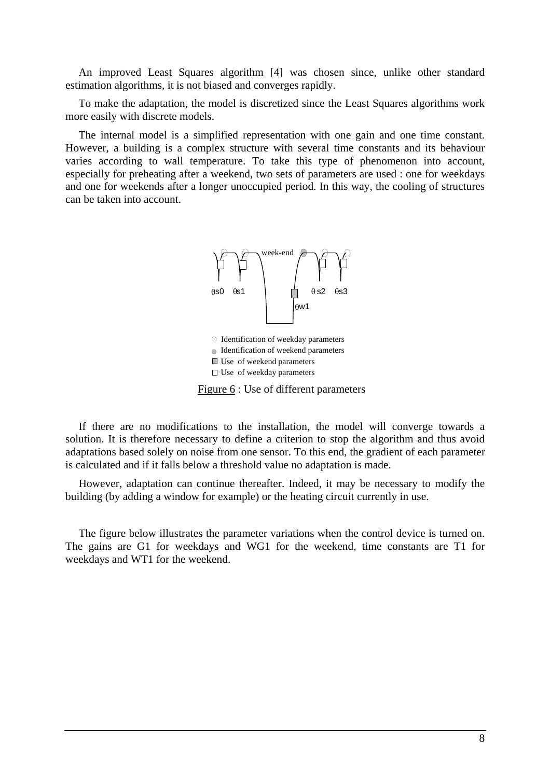An improved Least Squares algorithm [4] was chosen since, unlike other standard estimation algorithms, it is not biased and converges rapidly.

To make the adaptation, the model is discretized since the Least Squares algorithms work more easily with discrete models.

especially for preheating after a weekend, two sets of parameters are used : one for weekdays and one for weekends after a longer unoccupied period. In this way, the cooling of structures can be taken into account. The internal model is a simplified representation with one gain and one time constant. However, a building is a complex structure with several time constants and its behaviour varies according to wall temperature. To take this type of phenomenon into account,



Use of weekend parameters

 $\square$  Use of weekday parameters

Figure 6 : Use of different parameters

If there are no modifications to the installation, the model will converge towards a solution. It is therefore necessary to define a criterion to stop the algorithm and thus avoid ad aptations based solely on noise from one sensor. To this end, the gradient of each parameter is calculated and if it falls below a threshold value no adaptation is made.

However, adaptation can continue thereafter. Indeed, it may be necessary to modify the bu ilding (by adding a window for example) or the heating circuit currently in use.

The figure below illustrates the parameter variations when the control device is turned on. The gains are G1 for weekdays and WG1 for the weekend, time constants are T1 for weekdays and WT1 for the weekend.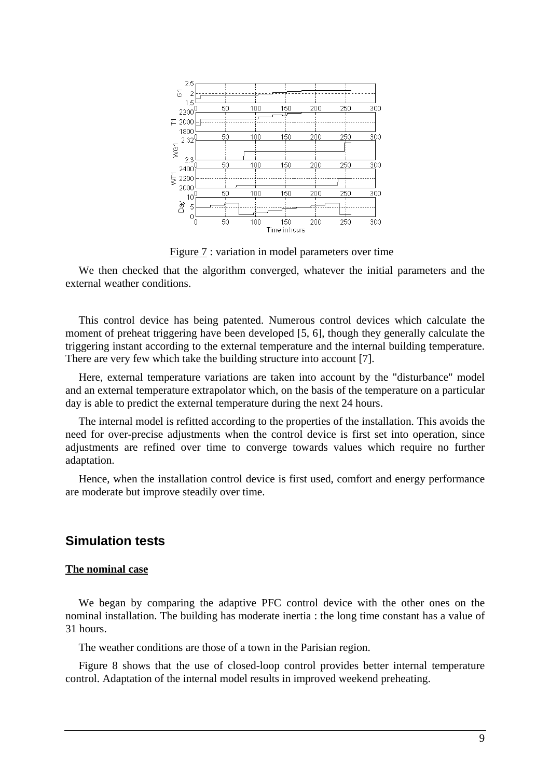

Figure 7 : variation in model parameters over time

We then checked that the algorithm converged, whatever the initial parameters and the external weather conditions.

This control device has being patented. Numerous control devices which calculate the moment of preheat triggering have been developed [5, 6], though they generally calculate the triggering instant according to the external temperature and the internal building temperature. There are very few which take the building structure into account [7].

Here, external temperature variations are taken into account by the "disturbance" model and an external temperature extrapolator which, on the basis of the temperature on a particular day is able to predict the external temperature during the next 24 hours.

The internal model is refitted according to the properties of the installation. This avoids the need for over-precise adjustments when the control device is first set into operation, since adjustments are refined over time to converge towards values which require no further adaptation.

Hence, when the installation control device is first used, comfort and energy performance are moderate but improve steadily over time.

## **Simulation tests**

#### **The nominal case**

We began by comparing the adaptive PFC control device with the other ones on the nominal installation. The building has moderate inertia : the long time constant has a value of 31 hours.

The weather conditions are those of a town in the Parisian region.

Figure 8 shows that the use of closed-loop control provides better internal temperature control. Adaptation of the internal model results in improved weekend preheating.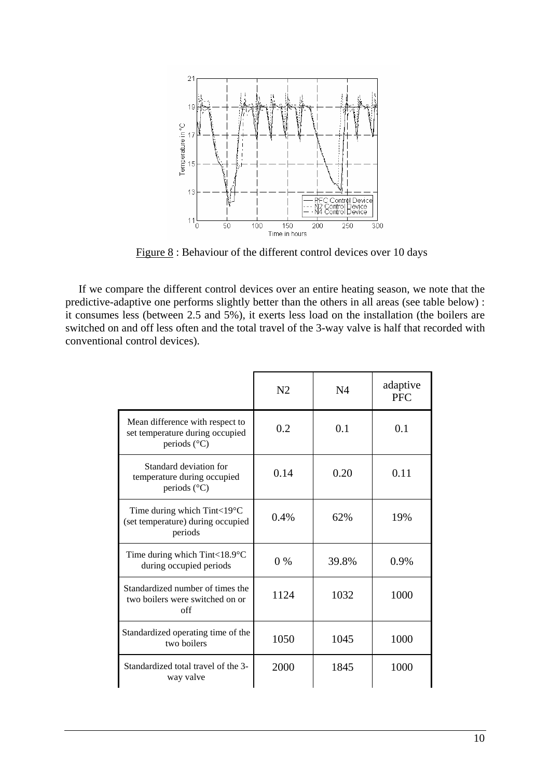

Figure 8 : Behaviour of the different control devices over 10 days

If we compare the different control devices over an entire heating season, we note that the predictive-adaptive one performs slightly better than the others in all areas (see table below) : it consumes less (between 2.5 and 5%), it exerts less load on the installation (the boilers are switched on and off less often and the total travel of the 3-way valve is half that recorded with conventional control devices).

|                                                                                             | N <sub>2</sub> | N4    | adaptive<br><b>PFC</b> |
|---------------------------------------------------------------------------------------------|----------------|-------|------------------------|
| Mean difference with respect to<br>set temperature during occupied<br>periods $(^{\circ}C)$ | 0.2            | 0.1   | 0.1                    |
| Standard deviation for<br>temperature during occupied<br>periods $(^{\circ}C)$              | 0.14           | 0.20  | 0.11                   |
| Time during which $Tint < 19^{\circ}C$<br>(set temperature) during occupied<br>periods      | 0.4%           | 62%   | 19%                    |
| Time during which Tint<18.9 $\degree$ C<br>during occupied periods                          | $0\%$          | 39.8% | 0.9%                   |
| Standardized number of times the<br>two boilers were switched on or<br>off                  | 1124           | 1032  | 1000                   |
| Standardized operating time of the<br>two boilers                                           | 1050           | 1045  | 1000                   |
| Standardized total travel of the 3-<br>way valve                                            | 2000           | 1845  | 1000                   |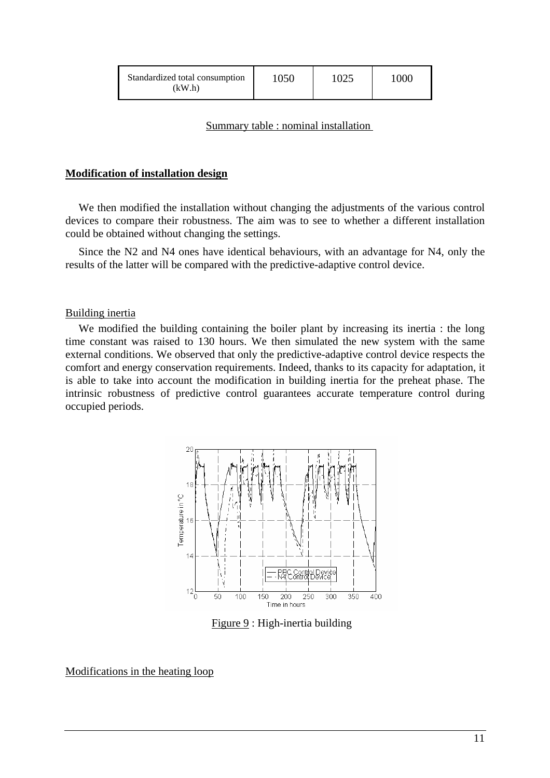| Standardized total consumption<br>(kW.h) | 1050 | 1025 | 1000 |
|------------------------------------------|------|------|------|
|------------------------------------------|------|------|------|

### Summary table : nominal installation

### **Modification of installation design**

We then modified the installation without changing the adjustments of the various control devices to compare their robustness. The aim was to see to whether a different installation could be obtained without changing the settings.

Since the N2 and N4 ones have identical behaviours, with an advantage for N4, only the results of the latter will be compared with the predictive-adaptive control device.

### Building inertia

We modified the building containing the boiler plant by increasing its inertia : the long time constant was raised to 130 hours. We then simulated the new system with the same external conditions. We observed that only the predictive-adaptive control device respects the comfort and energy conservation requirements. Indeed, thanks to its capacity for adaptation, it is able to take into account the modification in building inertia for the preheat phase. The intrinsic robustness of predictive control guarantees accurate temperature control during occupied periods.



Figure 9 : High-inertia building

### Modifications in the heating loop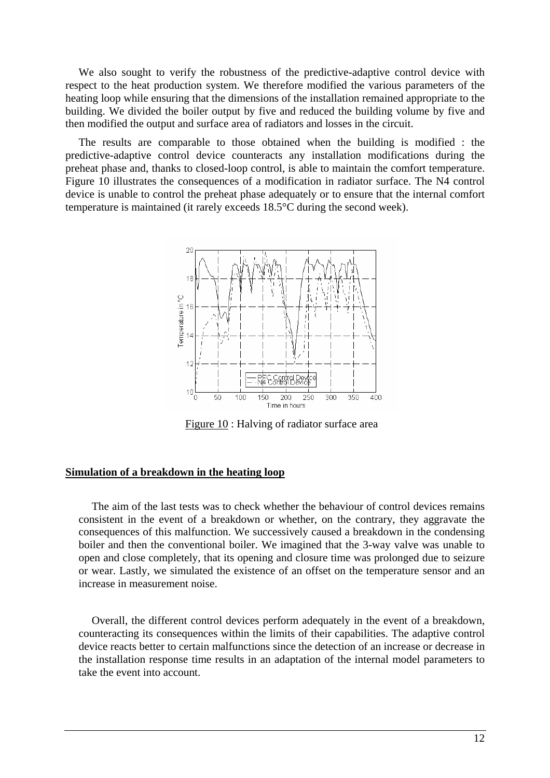We also sought to verify the robustness of the predictive-adaptive control device with respect to the heat production system. We therefore modified the various parameters of the heating loop while ensuring that the dimensions of the installation remained appropriate to the building. We divided the boiler output by five and reduced the building volume by five and then modified the output and surface area of radiators and losses in the circuit.

The results are comparable to those obtained when the building is modified : the predictive-adaptive control device counteracts any installation modifications during the preheat phase and, thanks to closed-loop control, is able to maintain the comfort temperature. Figure 10 illustrates the consequences of a modification in radiator surface. The N4 control device is unable to control the preheat phase adequately or to ensure that the internal comfort temperature is maintained (it rarely exceeds 18.5°C during the second week).



Figure 10 : Halving of radiator surface area

### **Simulation of a breakdown in the heating loop**

The aim of the last tests was to check whether the behaviour of control devices remains consistent in the event of a breakdown or whether, on the contrary, they aggravate the consequences of this malfunction. We successively caused a breakdown in the condensing boiler and then the conventional boiler. We imagined that the 3-way valve was unable to open and close completely, that its opening and closure time was prolonged due to seizure or wear. Lastly, we simulated the existence of an offset on the temperature sensor and an increase in measurement noise.

Overall, the different control devices perform adequately in the event of a breakdown, counteracting its consequences within the limits of their capabilities. The adaptive control device reacts better to certain malfunctions since the detection of an increase or decrease in the installation response time results in an adaptation of the internal model parameters to take the event into account.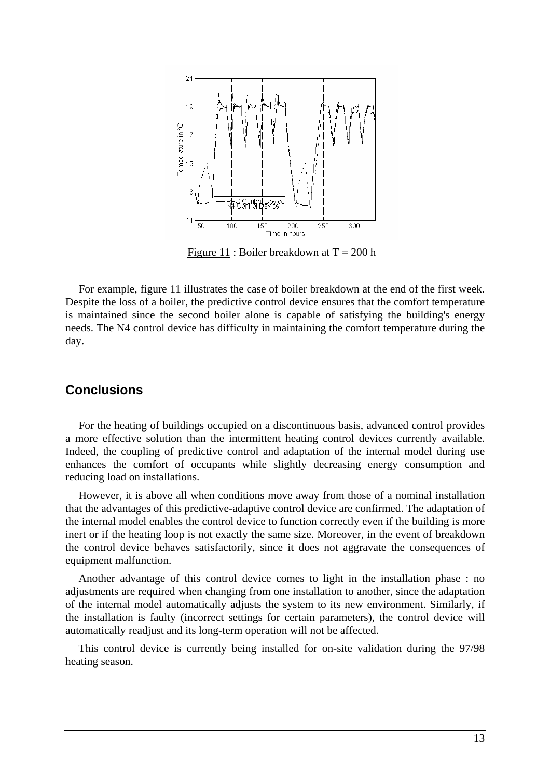

Figure 11 : Boiler breakdown at  $T = 200$  h

For example, figure 11 illustrates the case of boiler breakdown at the end of the first week. Despite the loss of a boiler, the predictive control device ensures that the comfort temperature is maintained since the second boiler alone is capable of satisfying the building's energy needs. The N4 control device has difficulty in maintaining the comfort temperature during the day.

## **Conclusions**

For the heating of buildings occupied on a discontinuous basis, advanced control provides a more effective solution than the intermittent heating control devices currently available. Indeed, the coupling of predictive control and adaptation of the internal model during use enhances the comfort of occupants while slightly decreasing energy consumption and reducing load on installations.

However, it is above all when conditions move away from those of a nominal installation that the advantages of this predictive-adaptive control device are confirmed. The adaptation of the internal model enables the control device to function correctly even if the building is more inert or if the heating loop is not exactly the same size. Moreover, in the event of breakdown the control device behaves satisfactorily, since it does not aggravate the consequences of equipment malfunction.

Another advantage of this control device comes to light in the installation phase : no adjustments are required when changing from one installation to another, since the adaptation of the internal model automatically adjusts the system to its new environment. Similarly, if the installation is faulty (incorrect settings for certain parameters), the control device will automatically readjust and its long-term operation will not be affected.

This control device is currently being installed for on-site validation during the 97/98 heating season.